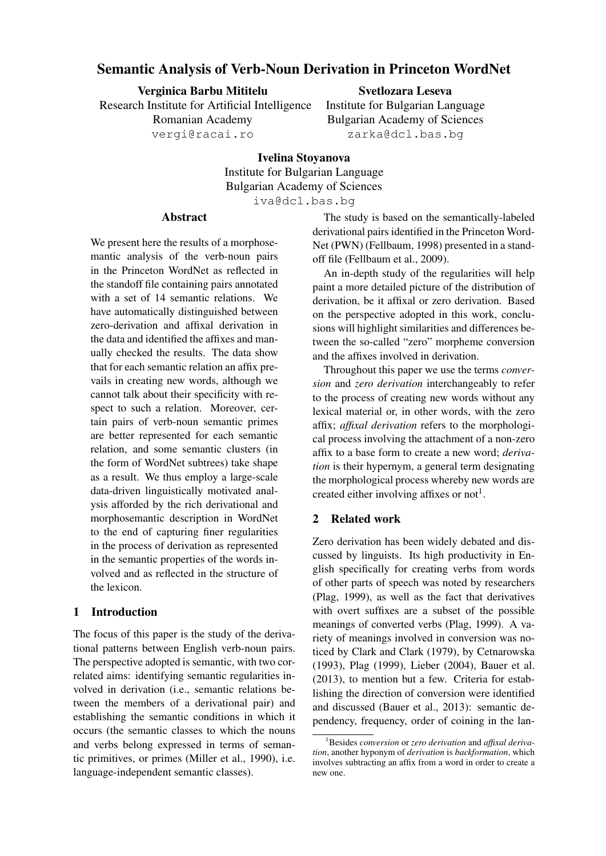# Semantic Analysis of Verb-Noun Derivation in Princeton WordNet

Verginica Barbu Mititelu Research Institute for Artificial Intelligence Romanian Academy vergi@racai.ro

Svetlozara Leseva

Institute for Bulgarian Language Bulgarian Academy of Sciences zarka@dcl.bas.bg

Ivelina Stoyanova Institute for Bulgarian Language Bulgarian Academy of Sciences iva@dcl.bas.bg

### Abstract

We present here the results of a morphosemantic analysis of the verb-noun pairs in the Princeton WordNet as reflected in the standoff file containing pairs annotated with a set of 14 semantic relations. We have automatically distinguished between zero-derivation and affixal derivation in the data and identified the affixes and manually checked the results. The data show that for each semantic relation an affix prevails in creating new words, although we cannot talk about their specificity with respect to such a relation. Moreover, certain pairs of verb-noun semantic primes are better represented for each semantic relation, and some semantic clusters (in the form of WordNet subtrees) take shape as a result. We thus employ a large-scale data-driven linguistically motivated analysis afforded by the rich derivational and morphosemantic description in WordNet to the end of capturing finer regularities in the process of derivation as represented in the semantic properties of the words involved and as reflected in the structure of the lexicon.

# 1 Introduction

The focus of this paper is the study of the derivational patterns between English verb-noun pairs. The perspective adopted is semantic, with two correlated aims: identifying semantic regularities involved in derivation (i.e., semantic relations between the members of a derivational pair) and establishing the semantic conditions in which it occurs (the semantic classes to which the nouns and verbs belong expressed in terms of semantic primitives, or primes (Miller et al., 1990), i.e. language-independent semantic classes).

The study is based on the semantically-labeled derivational pairs identified in the Princeton Word-Net (PWN) (Fellbaum, 1998) presented in a standoff file (Fellbaum et al., 2009).

An in-depth study of the regularities will help paint a more detailed picture of the distribution of derivation, be it affixal or zero derivation. Based on the perspective adopted in this work, conclusions will highlight similarities and differences between the so-called "zero" morpheme conversion and the affixes involved in derivation.

Throughout this paper we use the terms *conversion* and *zero derivation* interchangeably to refer to the process of creating new words without any lexical material or, in other words, with the zero affix; *affixal derivation* refers to the morphological process involving the attachment of a non-zero affix to a base form to create a new word; *derivation* is their hypernym, a general term designating the morphological process whereby new words are created either involving affixes or not<sup>1</sup>.

## 2 Related work

Zero derivation has been widely debated and discussed by linguists. Its high productivity in English specifically for creating verbs from words of other parts of speech was noted by researchers (Plag, 1999), as well as the fact that derivatives with overt suffixes are a subset of the possible meanings of converted verbs (Plag, 1999). A variety of meanings involved in conversion was noticed by Clark and Clark (1979), by Cetnarowska (1993), Plag (1999), Lieber (2004), Bauer et al. (2013), to mention but a few. Criteria for establishing the direction of conversion were identified and discussed (Bauer et al., 2013): semantic dependency, frequency, order of coining in the lan-

<sup>1</sup>Besides *conversion* or *zero derivation* and *affixal derivation*, another hyponym of *derivation* is *backformation*, which involves subtracting an affix from a word in order to create a new one.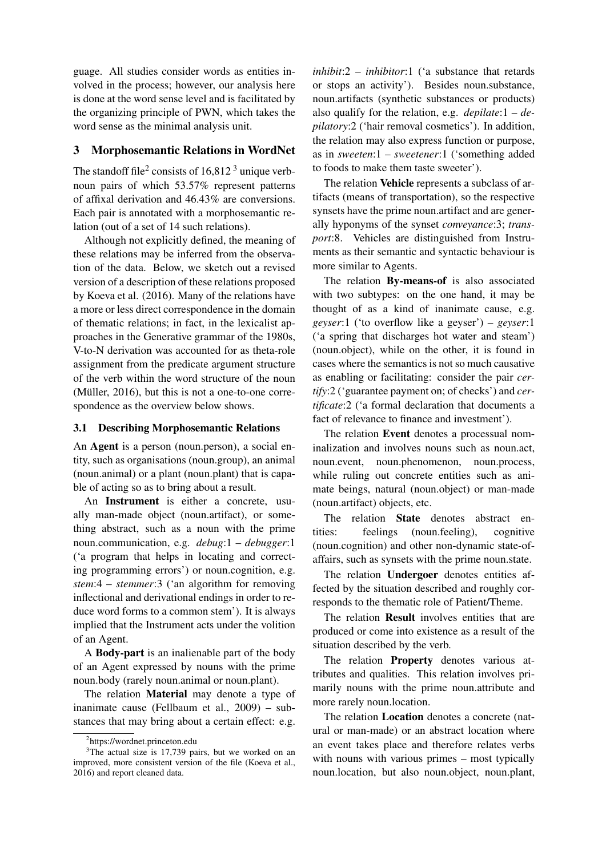guage. All studies consider words as entities involved in the process; however, our analysis here is done at the word sense level and is facilitated by the organizing principle of PWN, which takes the word sense as the minimal analysis unit.

### 3 Morphosemantic Relations in WordNet

The standoff file<sup>2</sup> consists of  $16,812<sup>3</sup>$  unique verbnoun pairs of which 53.57% represent patterns of affixal derivation and 46.43% are conversions. Each pair is annotated with a morphosemantic relation (out of a set of 14 such relations).

Although not explicitly defined, the meaning of these relations may be inferred from the observation of the data. Below, we sketch out a revised version of a description of these relations proposed by Koeva et al. (2016). Many of the relations have a more or less direct correspondence in the domain of thematic relations; in fact, in the lexicalist approaches in the Generative grammar of the 1980s, V-to-N derivation was accounted for as theta-role assignment from the predicate argument structure of the verb within the word structure of the noun (Müller,  $2016$ ), but this is not a one-to-one correspondence as the overview below shows.

### 3.1 Describing Morphosemantic Relations

An Agent is a person (noun.person), a social entity, such as organisations (noun.group), an animal (noun.animal) or a plant (noun.plant) that is capable of acting so as to bring about a result.

An Instrument is either a concrete, usually man-made object (noun.artifact), or something abstract, such as a noun with the prime noun.communication, e.g. *debug*:1 – *debugger*:1 ('a program that helps in locating and correcting programming errors') or noun.cognition, e.g. *stem*:4 – *stemmer*:3 ('an algorithm for removing inflectional and derivational endings in order to reduce word forms to a common stem'). It is always implied that the Instrument acts under the volition of an Agent.

A Body-part is an inalienable part of the body of an Agent expressed by nouns with the prime noun.body (rarely noun.animal or noun.plant).

The relation Material may denote a type of inanimate cause (Fellbaum et al., 2009) – substances that may bring about a certain effect: e.g.

*inhibit*:2 – *inhibitor*:1 ('a substance that retards or stops an activity'). Besides noun.substance, noun.artifacts (synthetic substances or products) also qualify for the relation, e.g. *depilate*:1 – *depilatory*:2 ('hair removal cosmetics'). In addition, the relation may also express function or purpose, as in *sweeten*:1 – *sweetener*:1 ('something added to foods to make them taste sweeter').

The relation Vehicle represents a subclass of artifacts (means of transportation), so the respective synsets have the prime noun.artifact and are generally hyponyms of the synset *conveyance*:3; *transport*:8. Vehicles are distinguished from Instruments as their semantic and syntactic behaviour is more similar to Agents.

The relation **By-means-of** is also associated with two subtypes: on the one hand, it may be thought of as a kind of inanimate cause, e.g. *geyser*:1 ('to overflow like a geyser') – *geyser*:1 ('a spring that discharges hot water and steam') (noun.object), while on the other, it is found in cases where the semantics is not so much causative as enabling or facilitating: consider the pair *certify*:2 ('guarantee payment on; of checks') and *certificate*:2 ('a formal declaration that documents a fact of relevance to finance and investment').

The relation Event denotes a processual nominalization and involves nouns such as noun.act, noun.event, noun.phenomenon, noun.process, while ruling out concrete entities such as animate beings, natural (noun.object) or man-made (noun.artifact) objects, etc.

The relation State denotes abstract entities: feelings (noun.feeling), cognitive (noun.cognition) and other non-dynamic state-ofaffairs, such as synsets with the prime noun.state.

The relation **Undergoer** denotes entities affected by the situation described and roughly corresponds to the thematic role of Patient/Theme.

The relation Result involves entities that are produced or come into existence as a result of the situation described by the verb.

The relation Property denotes various attributes and qualities. This relation involves primarily nouns with the prime noun.attribute and more rarely noun.location.

The relation Location denotes a concrete (natural or man-made) or an abstract location where an event takes place and therefore relates verbs with nouns with various primes – most typically noun.location, but also noun.object, noun.plant,

<sup>2</sup> https://wordnet.princeton.edu

<sup>&</sup>lt;sup>3</sup>The actual size is 17,739 pairs, but we worked on an improved, more consistent version of the file (Koeva et al., 2016) and report cleaned data.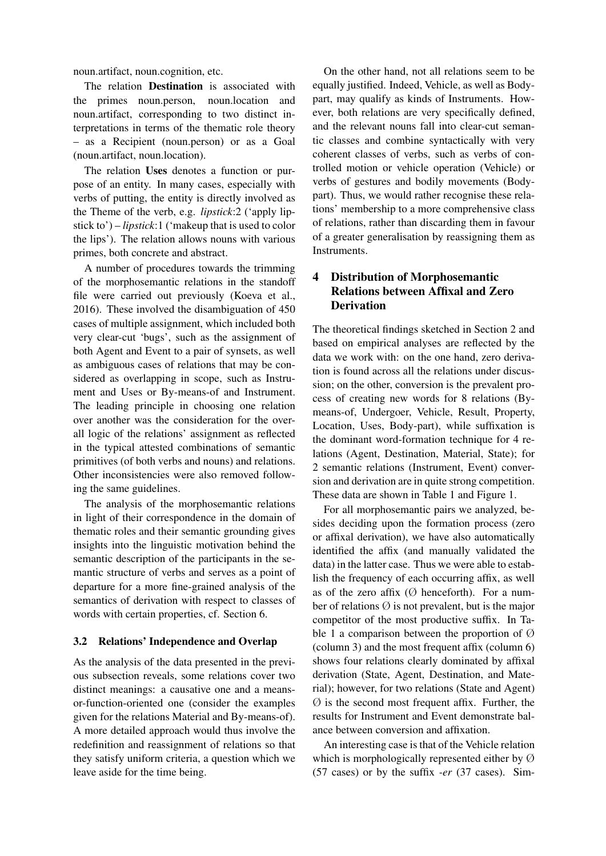noun.artifact, noun.cognition, etc.

The relation **Destination** is associated with the primes noun.person, noun.location and noun.artifact, corresponding to two distinct interpretations in terms of the thematic role theory – as a Recipient (noun.person) or as a Goal (noun.artifact, noun.location).

The relation Uses denotes a function or purpose of an entity. In many cases, especially with verbs of putting, the entity is directly involved as the Theme of the verb, e.g. *lipstick*:2 ('apply lipstick to') – *lipstick*:1 ('makeup that is used to color the lips'). The relation allows nouns with various primes, both concrete and abstract.

A number of procedures towards the trimming of the morphosemantic relations in the standoff file were carried out previously (Koeva et al., 2016). These involved the disambiguation of 450 cases of multiple assignment, which included both very clear-cut 'bugs', such as the assignment of both Agent and Event to a pair of synsets, as well as ambiguous cases of relations that may be considered as overlapping in scope, such as Instrument and Uses or By-means-of and Instrument. The leading principle in choosing one relation over another was the consideration for the overall logic of the relations' assignment as reflected in the typical attested combinations of semantic primitives (of both verbs and nouns) and relations. Other inconsistencies were also removed following the same guidelines.

The analysis of the morphosemantic relations in light of their correspondence in the domain of thematic roles and their semantic grounding gives insights into the linguistic motivation behind the semantic description of the participants in the semantic structure of verbs and serves as a point of departure for a more fine-grained analysis of the semantics of derivation with respect to classes of words with certain properties, cf. Section 6.

### 3.2 Relations' Independence and Overlap

As the analysis of the data presented in the previous subsection reveals, some relations cover two distinct meanings: a causative one and a meansor-function-oriented one (consider the examples given for the relations Material and By-means-of). A more detailed approach would thus involve the redefinition and reassignment of relations so that they satisfy uniform criteria, a question which we leave aside for the time being.

On the other hand, not all relations seem to be equally justified. Indeed, Vehicle, as well as Bodypart, may qualify as kinds of Instruments. However, both relations are very specifically defined, and the relevant nouns fall into clear-cut semantic classes and combine syntactically with very coherent classes of verbs, such as verbs of controlled motion or vehicle operation (Vehicle) or verbs of gestures and bodily movements (Bodypart). Thus, we would rather recognise these relations' membership to a more comprehensive class of relations, rather than discarding them in favour of a greater generalisation by reassigning them as Instruments.

# 4 Distribution of Morphosemantic Relations between Affixal and Zero **Derivation**

The theoretical findings sketched in Section 2 and based on empirical analyses are reflected by the data we work with: on the one hand, zero derivation is found across all the relations under discussion; on the other, conversion is the prevalent process of creating new words for 8 relations (Bymeans-of, Undergoer, Vehicle, Result, Property, Location, Uses, Body-part), while suffixation is the dominant word-formation technique for 4 relations (Agent, Destination, Material, State); for 2 semantic relations (Instrument, Event) conversion and derivation are in quite strong competition. These data are shown in Table 1 and Figure 1.

For all morphosemantic pairs we analyzed, besides deciding upon the formation process (zero or affixal derivation), we have also automatically identified the affix (and manually validated the data) in the latter case. Thus we were able to establish the frequency of each occurring affix, as well as of the zero affix  $(\emptyset)$  henceforth). For a number of relations  $\emptyset$  is not prevalent, but is the major competitor of the most productive suffix. In Table 1 a comparison between the proportion of  $\varnothing$ (column 3) and the most frequent affix (column 6) shows four relations clearly dominated by affixal derivation (State, Agent, Destination, and Material); however, for two relations (State and Agent)  $\varnothing$  is the second most frequent affix. Further, the results for Instrument and Event demonstrate balance between conversion and affixation.

An interesting case is that of the Vehicle relation which is morphologically represented either by  $\varnothing$ (57 cases) or by the suffix *-er* (37 cases). Sim-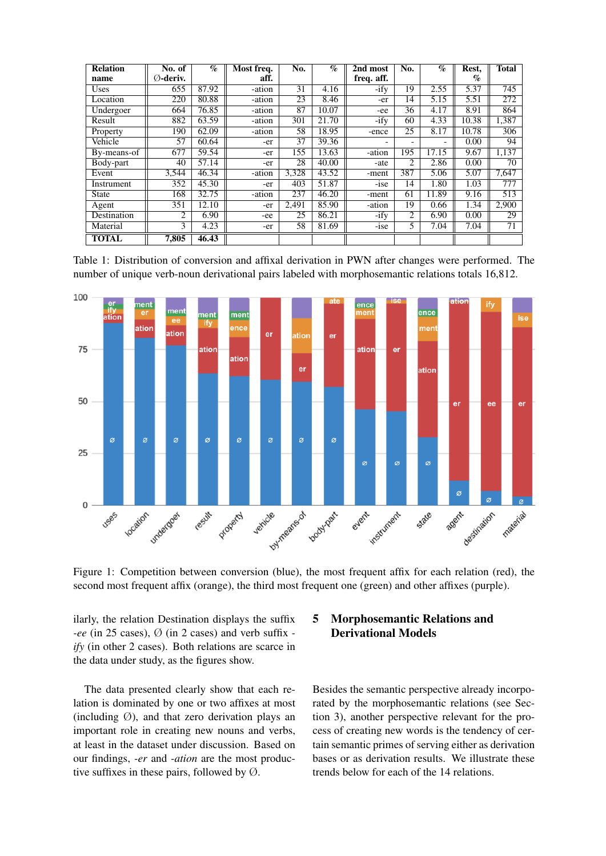| <b>Relation</b> | No. of              | $\mathcal{A}_0$ | Most freq. | No.   | $\overline{\mathcal{C}}_0$ | $\overline{2nd}$ most | No. | $\bar{\mathcal{C}}$ | Rest,                | <b>Total</b> |
|-----------------|---------------------|-----------------|------------|-------|----------------------------|-----------------------|-----|---------------------|----------------------|--------------|
| name            | $\emptyset$ -deriv. |                 | aff.       |       |                            | freq. aff.            |     |                     | $\mathcal{G}_{\rho}$ |              |
| Uses            | 655                 | 87.92           | -ation     | 31    | 4.16                       | $-ify$                | 19  | 2.55                | 5.37                 | 745          |
| Location        | 220                 | 80.88           | -ation     | 23    | 8.46                       | -er                   | 14  | 5.15                | 5.51                 | 272          |
| Undergoer       | 664                 | 76.85           | -ation     | 87    | 10.07                      | -ee                   | 36  | 4.17                | 8.91                 | 864          |
| Result          | 882                 | 63.59           | -ation     | 301   | 21.70                      | $-$ ify               | 60  | 4.33                | 10.38                | 1,387        |
| Property        | 190                 | 62.09           | -ation     | 58    | 18.95                      | -ence                 | 25  | 8.17                | 10.78                | 306          |
| Vehicle         | 57                  | 60.64           | -er        | 37    | 39.36                      |                       | -   | ۰                   | 0.00                 | 94           |
| By-means-of     | 677                 | 59.54           | -er        | 155   | 13.63                      | -ation                | 195 | 17.15               | 9.67                 | 1,137        |
| Body-part       | 40                  | 57.14           | -er        | 28    | 40.00                      | -ate                  | 2   | 2.86                | 0.00                 | 70           |
| Event           | 3,544               | 46.34           | -ation     | 3,328 | 43.52                      | -ment                 | 387 | 5.06                | 5.07                 | 7.647        |
| Instrument      | 352                 | 45.30           | -er        | 403   | 51.87                      | $-1$ se               | 14  | 1.80                | 1.03                 | 777          |
| <b>State</b>    | 168                 | 32.75           | -ation     | 237   | 46.20                      | -ment                 | 61  | 11.89               | 9.16                 | 513          |
| Agent           | 351                 | 12.10           | -er        | 2,491 | 85.90                      | -ation                | 19  | 0.66                | 1.34                 | 2,900        |
| Destination     | 2                   | 6.90            | -ee        | 25    | 86.21                      | -ify                  | 2   | 6.90                | 0.00                 | 29           |
| Material        | 3                   | 4.23            | -er        | 58    | 81.69                      | $-1$ se               | 5   | 7.04                | 7.04                 | 71           |
| <b>TOTAL</b>    | 7.805               | 46.43           |            |       |                            |                       |     |                     |                      |              |

Table 1: Distribution of conversion and affixal derivation in PWN after changes were performed. The number of unique verb-noun derivational pairs labeled with morphosemantic relations totals 16,812.



Figure 1: Competition between conversion (blue), the most frequent affix for each relation (red), the second most frequent affix (orange), the third most frequent one (green) and other affixes (purple).

ilarly, the relation Destination displays the suffix *-ee* (in 25 cases), Ø (in 2 cases) and verb suffix  *ify* (in other 2 cases). Both relations are scarce in the data under study, as the figures show.

The data presented clearly show that each relation is dominated by one or two affixes at most (including  $\varnothing$ ), and that zero derivation plays an important role in creating new nouns and verbs, at least in the dataset under discussion. Based on our findings, *-er* and *-ation* are the most productive suffixes in these pairs, followed by  $\emptyset$ .

# 5 Morphosemantic Relations and Derivational Models

Besides the semantic perspective already incorporated by the morphosemantic relations (see Section 3), another perspective relevant for the process of creating new words is the tendency of certain semantic primes of serving either as derivation bases or as derivation results. We illustrate these trends below for each of the 14 relations.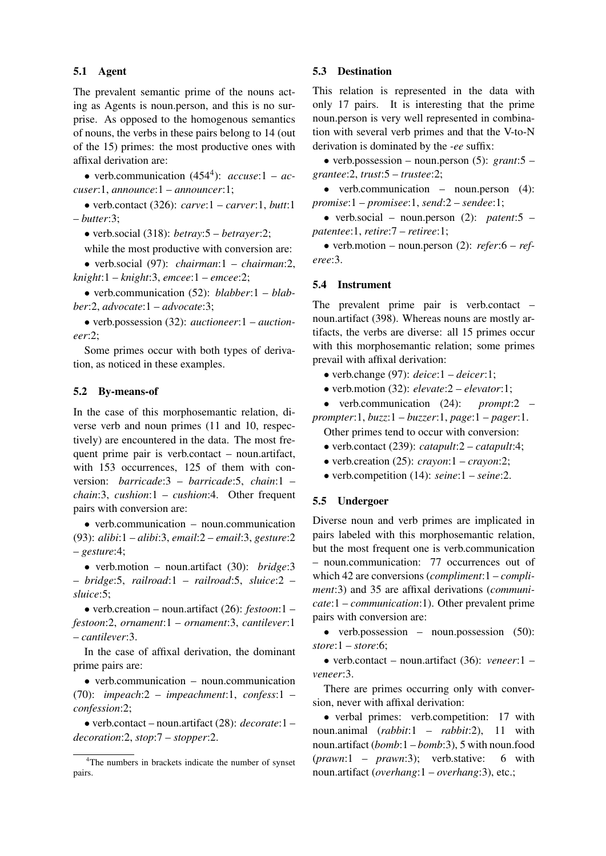### 5.1 Agent

The prevalent semantic prime of the nouns acting as Agents is noun.person, and this is no surprise. As opposed to the homogenous semantics of nouns, the verbs in these pairs belong to 14 (out of the 15) primes: the most productive ones with affixal derivation are:

• verb.communication  $(454^4)$ : *accuse*:1 – *accuser*:1, *announce*:1 – *announcer*:1;

• verb.contact (326): *carve*:1 – *carver*:1, *butt*:1 – *butter*:3;

• verb.social (318): *betray*:5 – *betrayer*:2;

while the most productive with conversion are:

• verb.social (97): *chairman*:1 – *chairman*:2, *knight*:1 – *knight*:3, *emcee*:1 – *emcee*:2;

• verb.communication (52): *blabber*:1 – *blabber*:2, *advocate*:1 – *advocate*:3;

• verb.possession (32): *auctioneer*:1 – *auctioneer*:2;

Some primes occur with both types of derivation, as noticed in these examples.

#### 5.2 By-means-of

In the case of this morphosemantic relation, diverse verb and noun primes (11 and 10, respectively) are encountered in the data. The most frequent prime pair is verb.contact – noun.artifact, with 153 occurrences, 125 of them with conversion: *barricade*:3 – *barricade*:5, *chain*:1 – *chain*:3, *cushion*:1 – *cushion*:4. Other frequent pairs with conversion are:

• verb.communication – noun.communication (93): *alibi*:1 – *alibi*:3, *email*:2 – *email*:3, *gesture*:2 – *gesture*:4;

• verb.motion – noun.artifact (30): *bridge*:3 – *bridge*:5, *railroad*:1 – *railroad*:5, *sluice*:2 – *sluice*:5;

• verb.creation – noun.artifact (26): *festoon*:1 – *festoon*:2, *ornament*:1 – *ornament*:3, *cantilever*:1 – *cantilever*:3.

In the case of affixal derivation, the dominant prime pairs are:

• verb.communication – noun.communication (70): *impeach*:2 – *impeachment*:1, *confess*:1 – *confession*:2;

• verb.contact – noun.artifact (28): *decorate*:1 – *decoration*:2, *stop*:7 – *stopper*:2.

### 5.3 Destination

This relation is represented in the data with only 17 pairs. It is interesting that the prime noun.person is very well represented in combination with several verb primes and that the V-to-N derivation is dominated by the *-ee* suffix:

• verb.possession – noun.person (5): *grant*:5 – *grantee*:2, *trust*:5 – *trustee*:2;

• verb.communication – noun.person (4): *promise*:1 – *promisee*:1, *send*:2 – *sendee*:1;

• verb.social – noun.person (2): *patent*:5 – *patentee*:1, *retire*:7 – *retiree*:1;

• verb.motion – noun.person (2): *refer*:6 – *referee*:3.

#### 5.4 Instrument

The prevalent prime pair is verb.contact – noun.artifact (398). Whereas nouns are mostly artifacts, the verbs are diverse: all 15 primes occur with this morphosemantic relation; some primes prevail with affixal derivation:

- verb.change (97): *deice*:1 *deicer*:1;
- verb.motion (32): *elevate*:2 *elevator*:1;

• verb.communication (24): *prompt*:2 – *prompter*:1, *buzz*:1 – *buzzer*:1, *page*:1 – *pager*:1.

Other primes tend to occur with conversion:

- verb.contact (239): *catapult*:2 *catapult*:4;
- verb.creation (25): *crayon*:1 *crayon*:2;
- verb.competition (14): *seine*:1 *seine*:2.

#### 5.5 Undergoer

Diverse noun and verb primes are implicated in pairs labeled with this morphosemantic relation, but the most frequent one is verb.communication – noun.communication: 77 occurrences out of which 42 are conversions (*compliment*:1 – *compliment*:3) and 35 are affixal derivations (*communicate*:1 – *communication*:1). Other prevalent prime pairs with conversion are:

• verb.possession – noun.possession (50): *store*:1 – *store*:6;

• verb.contact – noun.artifact (36): *veneer*:1 – *veneer*:3.

There are primes occurring only with conversion, never with affixal derivation:

• verbal primes: verb.competition: 17 with noun.animal (*rabbit*:1 – *rabbit*:2), 11 with noun.artifact (*bomb*:1 – *bomb*:3), 5 with noun.food (*prawn*:1 – *prawn*:3); verb.stative: 6 with noun.artifact (*overhang*:1 – *overhang*:3), etc.;

<sup>4</sup>The numbers in brackets indicate the number of synset pairs.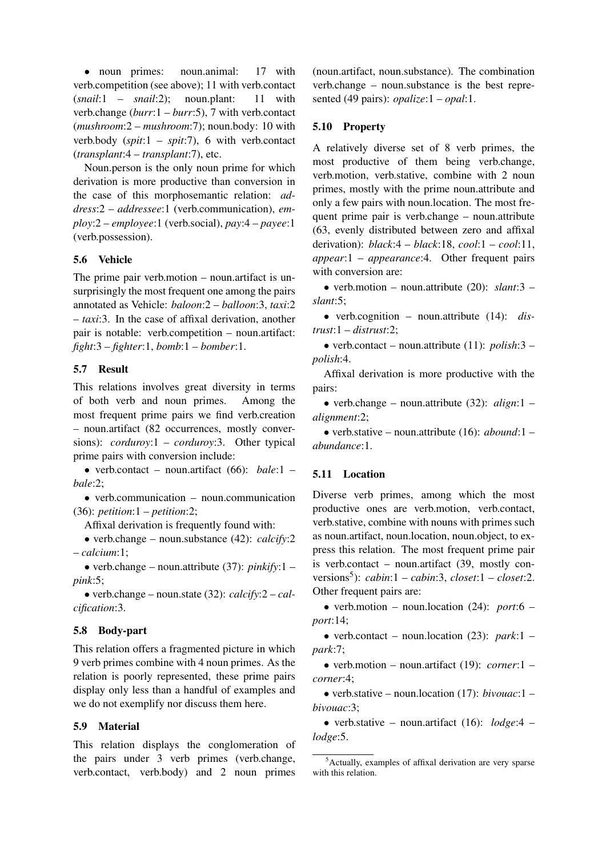• noun primes: noun.animal: 17 with verb.competition (see above); 11 with verb.contact (*snail*:1 – *snail*:2); noun.plant: 11 with verb.change (*burr*:1 – *burr*:5), 7 with verb.contact (*mushroom*:2 – *mushroom*:7); noun.body: 10 with verb.body (*spit*:1 – *spit*:7), 6 with verb.contact (*transplant*:4 – *transplant*:7), etc.

Noun.person is the only noun prime for which derivation is more productive than conversion in the case of this morphosemantic relation: *address*:2 – *addressee*:1 (verb.communication), *employ*:2 – *employee*:1 (verb.social), *pay*:4 – *payee*:1 (verb.possession).

## 5.6 Vehicle

The prime pair verb.motion – noun.artifact is unsurprisingly the most frequent one among the pairs annotated as Vehicle: *baloon*:2 – *balloon*:3, *taxi*:2 – *taxi*:3. In the case of affixal derivation, another pair is notable: verb.competition – noun.artifact: *fight*:3 – *fighter*:1, *bomb*:1 – *bomber*:1.

### 5.7 Result

This relations involves great diversity in terms of both verb and noun primes. Among the most frequent prime pairs we find verb.creation – noun.artifact (82 occurrences, mostly conversions): *corduroy*:1 – *corduroy*:3. Other typical prime pairs with conversion include:

• verb.contact – noun.artifact (66): *bale*:1 – *bale*:2;

• verb.communication – noun.communication (36): *petition*:1 – *petition*:2;

Affixal derivation is frequently found with:

• verb.change – noun.substance (42): *calcify*:2 – *calcium*:1;

• verb.change – noun.attribute (37): *pinkify*:1 – *pink*:5;

• verb.change – noun.state (32): *calcify*:2 – *calcification*:3.

## 5.8 Body-part

This relation offers a fragmented picture in which 9 verb primes combine with 4 noun primes. As the relation is poorly represented, these prime pairs display only less than a handful of examples and we do not exemplify nor discuss them here.

### 5.9 Material

This relation displays the conglomeration of the pairs under 3 verb primes (verb.change, verb.contact, verb.body) and 2 noun primes (noun.artifact, noun.substance). The combination verb.change – noun.substance is the best represented (49 pairs): *opalize*:1 – *opal*:1.

### 5.10 Property

A relatively diverse set of 8 verb primes, the most productive of them being verb.change, verb.motion, verb.stative, combine with 2 noun primes, mostly with the prime noun.attribute and only a few pairs with noun.location. The most frequent prime pair is verb.change – noun.attribute (63, evenly distributed between zero and affixal derivation): *black*:4 – *black*:18, *cool*:1 – *cool*:11, *appear*:1 – *appearance*:4. Other frequent pairs with conversion are:

• verb.motion – noun.attribute (20): *slant*:3 – *slant*:5;

• verb.cognition – noun.attribute (14): *distrust*:1 – *distrust*:2;

• verb.contact – noun.attribute (11): *polish*:3 – *polish*:4.

Affixal derivation is more productive with the pairs:

• verb.change – noun.attribute (32): *align*:1 – *alignment*:2;

• verb.stative – noun.attribute (16): *abound*:1 – *abundance*:1.

## 5.11 Location

Diverse verb primes, among which the most productive ones are verb.motion, verb.contact, verb.stative, combine with nouns with primes such as noun.artifact, noun.location, noun.object, to express this relation. The most frequent prime pair is verb.contact – noun.artifact (39, mostly conversions<sup>5</sup> ): *cabin*:1 – *cabin*:3, *closet*:1 – *closet*:2. Other frequent pairs are:

• verb.motion – noun.location (24): *port*:6 – *port*:14;

• verb.contact – noun.location (23): *park*:1 – *park*:7;

• verb.motion – noun.artifact (19): *corner*:1 – *corner*:4;

• verb.stative – noun.location (17): *bivouac*:1 – *bivouac*:3;

• verb.stative – noun.artifact (16): *lodge*:4 – *lodge*:5.

 $5$ Actually, examples of affixal derivation are very sparse with this relation.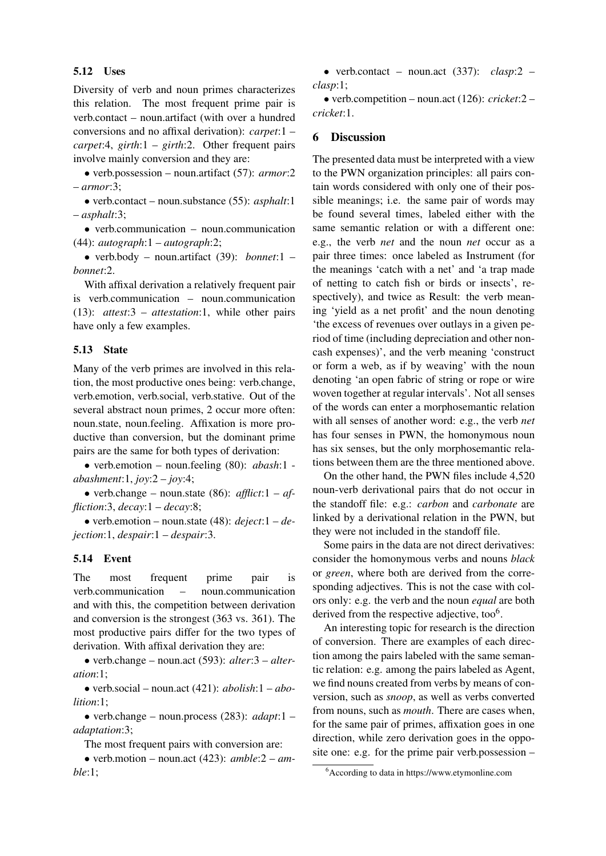### 5.12 Uses

Diversity of verb and noun primes characterizes this relation. The most frequent prime pair is verb.contact – noun.artifact (with over a hundred conversions and no affixal derivation): *carpet*:1 – *carpet*:4, *girth*:1 – *girth*:2. Other frequent pairs involve mainly conversion and they are:

• verb.possession – noun.artifact (57): *armor*:2 – *armor*:3;

• verb.contact – noun.substance (55): *asphalt*:1 – *asphalt*:3;

• verb.communication – noun.communication (44): *autograph*:1 – *autograph*:2;

• verb.body – noun.artifact (39): *bonnet*:1 – *bonnet*:2.

With affixal derivation a relatively frequent pair is verb.communication – noun.communication (13): *attest*:3 – *attestation*:1, while other pairs have only a few examples.

### 5.13 State

Many of the verb primes are involved in this relation, the most productive ones being: verb.change, verb.emotion, verb.social, verb.stative. Out of the several abstract noun primes, 2 occur more often: noun.state, noun.feeling. Affixation is more productive than conversion, but the dominant prime pairs are the same for both types of derivation:

• verb.emotion – noun.feeling (80): *abash*:1 *abashment*:1, *joy*:2 – *joy*:4;

• verb.change – noun.state  $(86)$ : *afflict*:1 – *affliction*:3, *decay*:1 – *decay*:8;

• verb.emotion – noun.state (48): *deject*:1 – *dejection*:1, *despair*:1 – *despair*:3.

#### 5.14 Event

The most frequent prime pair is verb.communication – noun.communication and with this, the competition between derivation and conversion is the strongest (363 vs. 361). The most productive pairs differ for the two types of derivation. With affixal derivation they are:

• verb.change – noun.act (593): *alter*:3 – *alteration*:1;

• verb.social – noun.act (421): *abolish*:1 – *abolition*:1;

• verb.change – noun.process (283): *adapt*:1 – *adaptation*:3;

The most frequent pairs with conversion are:

• verb.motion – noun.act (423): *amble*:2 – *amble*:1;

• verb.contact – noun.act (337): *clasp*:2 – *clasp*:1;

• verb.competition – noun.act (126): *cricket*:2 – *cricket*:1.

#### 6 Discussion

The presented data must be interpreted with a view to the PWN organization principles: all pairs contain words considered with only one of their possible meanings; i.e. the same pair of words may be found several times, labeled either with the same semantic relation or with a different one: e.g., the verb *net* and the noun *net* occur as a pair three times: once labeled as Instrument (for the meanings 'catch with a net' and 'a trap made of netting to catch fish or birds or insects', respectively), and twice as Result: the verb meaning 'yield as a net profit' and the noun denoting 'the excess of revenues over outlays in a given period of time (including depreciation and other noncash expenses)', and the verb meaning 'construct or form a web, as if by weaving' with the noun denoting 'an open fabric of string or rope or wire woven together at regular intervals'. Not all senses of the words can enter a morphosemantic relation with all senses of another word: e.g., the verb *net* has four senses in PWN, the homonymous noun has six senses, but the only morphosemantic relations between them are the three mentioned above.

On the other hand, the PWN files include 4,520 noun-verb derivational pairs that do not occur in the standoff file: e.g.: *carbon* and *carbonate* are linked by a derivational relation in the PWN, but they were not included in the standoff file.

Some pairs in the data are not direct derivatives: consider the homonymous verbs and nouns *black* or *green*, where both are derived from the corresponding adjectives. This is not the case with colors only: e.g. the verb and the noun *equal* are both derived from the respective adjective, too $6$ .

An interesting topic for research is the direction of conversion. There are examples of each direction among the pairs labeled with the same semantic relation: e.g. among the pairs labeled as Agent, we find nouns created from verbs by means of conversion, such as *snoop*, as well as verbs converted from nouns, such as *mouth*. There are cases when, for the same pair of primes, affixation goes in one direction, while zero derivation goes in the opposite one: e.g. for the prime pair verb.possession –

<sup>6</sup>According to data in https://www.etymonline.com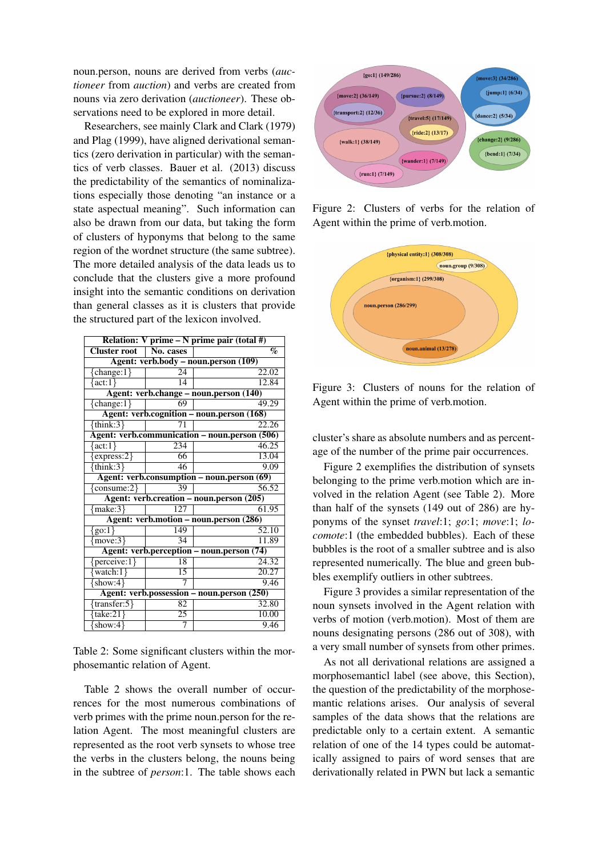noun.person, nouns are derived from verbs (*auctioneer* from *auction*) and verbs are created from nouns via zero derivation (*auctioneer*). These observations need to be explored in more detail.

Researchers, see mainly Clark and Clark (1979) and Plag (1999), have aligned derivational semantics (zero derivation in particular) with the semantics of verb classes. Bauer et al. (2013) discuss the predictability of the semantics of nominalizations especially those denoting "an instance or a state aspectual meaning". Such information can also be drawn from our data, but taking the form of clusters of hyponyms that belong to the same region of the wordnet structure (the same subtree). The more detailed analysis of the data leads us to conclude that the clusters give a more profound insight into the semantic conditions on derivation than general classes as it is clusters that provide the structured part of the lexicon involved.

| Relation: V prime $-N$ prime pair (total #)   |                 |       |  |  |  |  |  |  |
|-----------------------------------------------|-----------------|-------|--|--|--|--|--|--|
| <b>Cluster root</b>                           | No. cases       | $\%$  |  |  |  |  |  |  |
| Agent: verb.body – noun.person (109)          |                 |       |  |  |  |  |  |  |
| ${change:1}$                                  | $\overline{24}$ | 22.02 |  |  |  |  |  |  |
| $\{act:1\}$                                   | 14              | 12.84 |  |  |  |  |  |  |
| Agent: verb.change – noun.person (140)        |                 |       |  |  |  |  |  |  |
| ${change:1}$                                  | 69              | 49.29 |  |  |  |  |  |  |
| Agent: verb.cognition - noun.person (168)     |                 |       |  |  |  |  |  |  |
| $\{\text{think:3}\}$                          | 71              | 22.26 |  |  |  |  |  |  |
| Agent: verb.communication - noun.person (506) |                 |       |  |  |  |  |  |  |
| $\{act:1\}$                                   | 234             | 46.25 |  |  |  |  |  |  |
| $\{express:2\}$                               | 66              | 13.04 |  |  |  |  |  |  |
| {think:3}                                     | 46              | 9.09  |  |  |  |  |  |  |
| Agent: verb.consumption - noun.person (69)    |                 |       |  |  |  |  |  |  |
| ${consum:}2$                                  | 39              | 56.52 |  |  |  |  |  |  |
| Agent: verb.creation – noun.person (205)      |                 |       |  |  |  |  |  |  |
| ${make:}3$                                    | 127             | 61.95 |  |  |  |  |  |  |
| Agent: verb.motion – noun.person (286)        |                 |       |  |  |  |  |  |  |
| ${go:1}$                                      | 149             | 52.10 |  |  |  |  |  |  |
| ${move:}3$                                    | $\overline{34}$ | 11.89 |  |  |  |  |  |  |
| Agent: verb.perception - noun.person (74)     |                 |       |  |  |  |  |  |  |
| ${perceive:1}$                                | T8              | 24.32 |  |  |  |  |  |  |
| $\{\text{watch:1}\}$                          | 15              | 20.27 |  |  |  |  |  |  |
| $\{show:4\}$                                  | 7               | 9.46  |  |  |  |  |  |  |
| Agent: verb.possession - noun.person (250)    |                 |       |  |  |  |  |  |  |
| {transfer:5}                                  | 82              | 32.80 |  |  |  |  |  |  |
| $\{take: 21\}$                                | 25              | 10.00 |  |  |  |  |  |  |
| show: $4$ }                                   | 7               | 9.46  |  |  |  |  |  |  |

Table 2: Some significant clusters within the morphosemantic relation of Agent.

Table 2 shows the overall number of occurrences for the most numerous combinations of verb primes with the prime noun.person for the relation Agent. The most meaningful clusters are represented as the root verb synsets to whose tree the verbs in the clusters belong, the nouns being in the subtree of *person*:1. The table shows each



Figure 2: Clusters of verbs for the relation of Agent within the prime of verb.motion.



Figure 3: Clusters of nouns for the relation of Agent within the prime of verb.motion.

cluster's share as absolute numbers and as percentage of the number of the prime pair occurrences.

Figure 2 exemplifies the distribution of synsets belonging to the prime verb.motion which are involved in the relation Agent (see Table 2). More than half of the synsets (149 out of 286) are hyponyms of the synset *travel*:1; *go*:1; *move*:1; *locomote*:1 (the embedded bubbles). Each of these bubbles is the root of a smaller subtree and is also represented numerically. The blue and green bubbles exemplify outliers in other subtrees.

Figure 3 provides a similar representation of the noun synsets involved in the Agent relation with verbs of motion (verb.motion). Most of them are nouns designating persons (286 out of 308), with a very small number of synsets from other primes.

As not all derivational relations are assigned a morphosemanticl label (see above, this Section), the question of the predictability of the morphosemantic relations arises. Our analysis of several samples of the data shows that the relations are predictable only to a certain extent. A semantic relation of one of the 14 types could be automatically assigned to pairs of word senses that are derivationally related in PWN but lack a semantic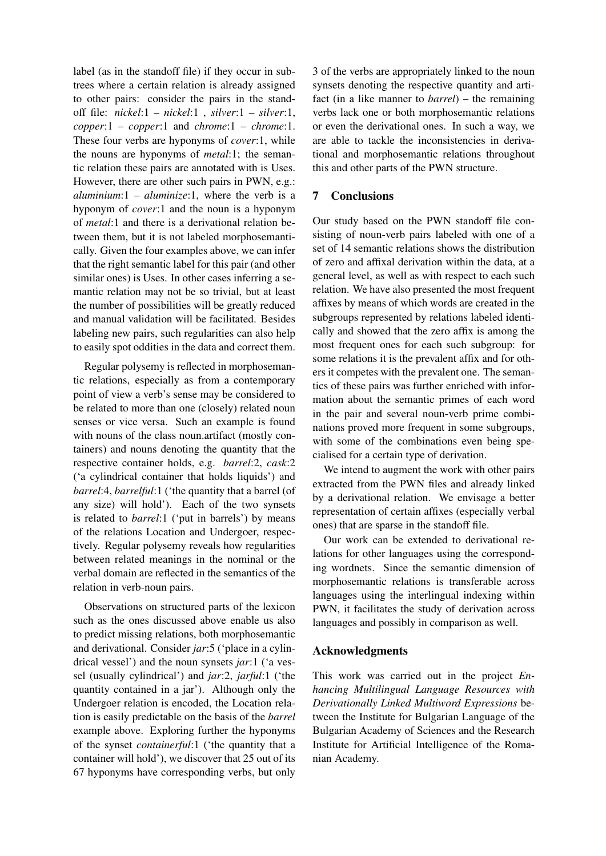label (as in the standoff file) if they occur in subtrees where a certain relation is already assigned to other pairs: consider the pairs in the standoff file: *nickel*:1 – *nickel*:1 , *silver*:1 – *silver*:1, *copper*:1 – *copper*:1 and *chrome*:1 – *chrome*:1. These four verbs are hyponyms of *cover*:1, while the nouns are hyponyms of *metal*:1; the semantic relation these pairs are annotated with is Uses. However, there are other such pairs in PWN, e.g.: *aluminium*:1 – *aluminize*:1, where the verb is a hyponym of *cover*:1 and the noun is a hyponym of *metal*:1 and there is a derivational relation between them, but it is not labeled morphosemantically. Given the four examples above, we can infer that the right semantic label for this pair (and other similar ones) is Uses. In other cases inferring a semantic relation may not be so trivial, but at least the number of possibilities will be greatly reduced and manual validation will be facilitated. Besides labeling new pairs, such regularities can also help to easily spot oddities in the data and correct them.

Regular polysemy is reflected in morphosemantic relations, especially as from a contemporary point of view a verb's sense may be considered to be related to more than one (closely) related noun senses or vice versa. Such an example is found with nouns of the class noun.artifact (mostly containers) and nouns denoting the quantity that the respective container holds, e.g. *barrel*:2, *cask*:2 ('a cylindrical container that holds liquids') and *barrel*:4, *barrelful*:1 ('the quantity that a barrel (of any size) will hold'). Each of the two synsets is related to *barrel*:1 ('put in barrels') by means of the relations Location and Undergoer, respectively. Regular polysemy reveals how regularities between related meanings in the nominal or the verbal domain are reflected in the semantics of the relation in verb-noun pairs.

Observations on structured parts of the lexicon such as the ones discussed above enable us also to predict missing relations, both morphosemantic and derivational. Consider *jar*:5 ('place in a cylindrical vessel') and the noun synsets *jar*:1 ('a vessel (usually cylindrical') and *jar*:2, *jarful*:1 ('the quantity contained in a jar'). Although only the Undergoer relation is encoded, the Location relation is easily predictable on the basis of the *barrel* example above. Exploring further the hyponyms of the synset *containerful*:1 ('the quantity that a container will hold'), we discover that 25 out of its 67 hyponyms have corresponding verbs, but only

3 of the verbs are appropriately linked to the noun synsets denoting the respective quantity and artifact (in a like manner to *barrel*) – the remaining verbs lack one or both morphosemantic relations or even the derivational ones. In such a way, we are able to tackle the inconsistencies in derivational and morphosemantic relations throughout this and other parts of the PWN structure.

### 7 Conclusions

Our study based on the PWN standoff file consisting of noun-verb pairs labeled with one of a set of 14 semantic relations shows the distribution of zero and affixal derivation within the data, at a general level, as well as with respect to each such relation. We have also presented the most frequent affixes by means of which words are created in the subgroups represented by relations labeled identically and showed that the zero affix is among the most frequent ones for each such subgroup: for some relations it is the prevalent affix and for others it competes with the prevalent one. The semantics of these pairs was further enriched with information about the semantic primes of each word in the pair and several noun-verb prime combinations proved more frequent in some subgroups, with some of the combinations even being specialised for a certain type of derivation.

We intend to augment the work with other pairs extracted from the PWN files and already linked by a derivational relation. We envisage a better representation of certain affixes (especially verbal ones) that are sparse in the standoff file.

Our work can be extended to derivational relations for other languages using the corresponding wordnets. Since the semantic dimension of morphosemantic relations is transferable across languages using the interlingual indexing within PWN, it facilitates the study of derivation across languages and possibly in comparison as well.

### Acknowledgments

This work was carried out in the project *Enhancing Multilingual Language Resources with Derivationally Linked Multiword Expressions* between the Institute for Bulgarian Language of the Bulgarian Academy of Sciences and the Research Institute for Artificial Intelligence of the Romanian Academy.